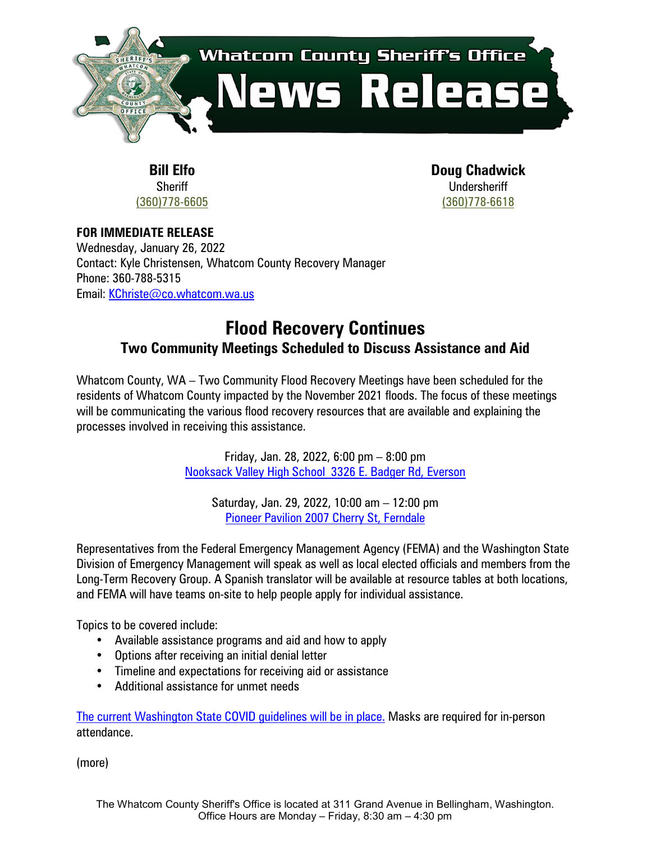

**Bill Elfo Sheriff** [\(360\)778-6605](tel://360-778-6605/) **Doug Chadwick Undersheriff** [\(360\)778-6618](tel://360-778-6618/)

**FOR IMMEDIATE RELEASE** Wednesday, January 26, 2022 Contact: Kyle Christensen, Whatcom County Recovery Manager Phone: 360-788-5315 Email: [KChriste@co.whatcom.wa.us](mailto:KChriste@co.whatcom.wa.us)

## **Flood Recovery Continues Two Community Meetings Scheduled to Discuss Assistance and Aid**

Whatcom County, WA – Two Community Flood Recovery Meetings have been scheduled for the residents of Whatcom County impacted by the November 2021 floods. The focus of these meetings will be communicating the various flood recovery resources that are available and explaining the processes involved in receiving this assistance.

> Friday, Jan. 28, 2022, 6:00 pm – 8:00 pm [Nooksack Valley High School 3326 E. Badger Rd, Everson](https://goo.gl/maps/mvqBvvynAE3r5zuR8)

Saturday, Jan. 29, 2022, 10:00 am – 12:00 pm Pioneer Pavilion [2007 Cherry St, Ferndale](https://goo.gl/maps/E4PgpomT1ubBMQdK8)

Representatives from the Federal Emergency Management Agency (FEMA) and the Washington State Division of Emergency Management will speak as well as local elected officials and members from the Long-Term Recovery Group. A Spanish translator will be available at resource tables at both locations, and FEMA will have teams on-site to help people apply for individual assistance.

Topics to be covered include:

- Available assistance programs and aid and how to apply
- Options after receiving an initial denial letter
- Timeline and expectations for receiving aid or assistance
- Additional assistance for unmet needs

[The current Washington State COVID guidelines will be in place.](https://www.coronavirus.wa.gov/information-for/you-and-your-family/safer-gatherings) Masks are required for in-person attendance.

(more)